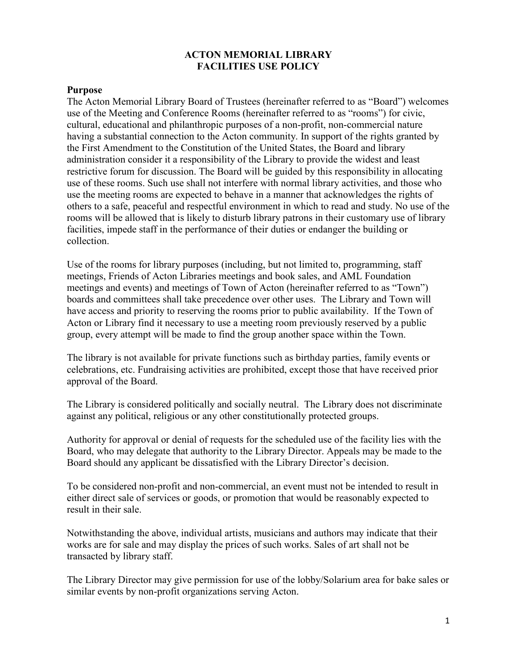### **ACTON MEMORIAL LIBRARY FACILITIES USE POLICY**

### **Purpose**

The Acton Memorial Library Board of Trustees (hereinafter referred to as "Board") welcomes use of the Meeting and Conference Rooms (hereinafter referred to as "rooms") for civic, cultural, educational and philanthropic purposes of a non-profit, non-commercial nature having a substantial connection to the Acton community. In support of the rights granted by the First Amendment to the Constitution of the United States, the Board and library administration consider it a responsibility of the Library to provide the widest and least restrictive forum for discussion. The Board will be guided by this responsibility in allocating use of these rooms. Such use shall not interfere with normal library activities, and those who use the meeting rooms are expected to behave in a manner that acknowledges the rights of others to a safe, peaceful and respectful environment in which to read and study. No use of the rooms will be allowed that is likely to disturb library patrons in their customary use of library facilities, impede staff in the performance of their duties or endanger the building or collection.

Use of the rooms for library purposes (including, but not limited to, programming, staff meetings, Friends of Acton Libraries meetings and book sales, and AML Foundation meetings and events) and meetings of Town of Acton (hereinafter referred to as "Town") boards and committees shall take precedence over other uses. The Library and Town will have access and priority to reserving the rooms prior to public availability. If the Town of Acton or Library find it necessary to use a meeting room previously reserved by a public group, every attempt will be made to find the group another space within the Town.

The library is not available for private functions such as birthday parties, family events or celebrations, etc. Fundraising activities are prohibited, except those that have received prior approval of the Board.

The Library is considered politically and socially neutral. The Library does not discriminate against any political, religious or any other constitutionally protected groups.

Authority for approval or denial of requests for the scheduled use of the facility lies with the Board, who may delegate that authority to the Library Director. Appeals may be made to the Board should any applicant be dissatisfied with the Library Director's decision.

To be considered non-profit and non-commercial, an event must not be intended to result in either direct sale of services or goods, or promotion that would be reasonably expected to result in their sale.

Notwithstanding the above, individual artists, musicians and authors may indicate that their works are for sale and may display the prices of such works. Sales of art shall not be transacted by library staff.

The Library Director may give permission for use of the lobby/Solarium area for bake sales or similar events by non-profit organizations serving Acton.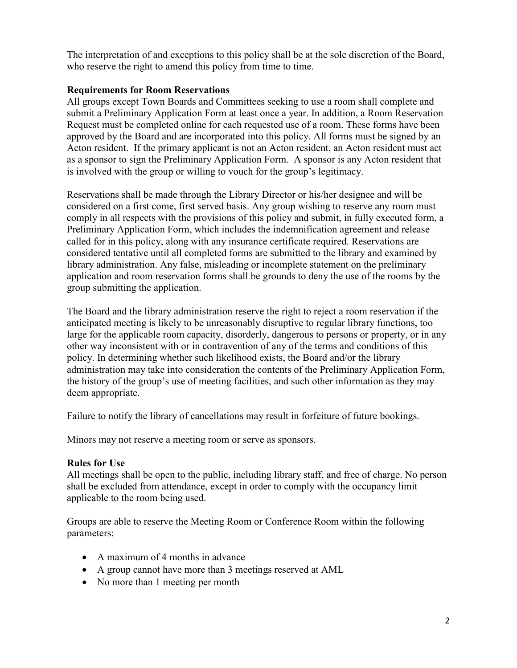The interpretation of and exceptions to this policy shall be at the sole discretion of the Board, who reserve the right to amend this policy from time to time.

## **Requirements for Room Reservations**

All groups except Town Boards and Committees seeking to use a room shall complete and submit a [Preliminary Application Form](http://www.actonmemoriallibrary.org/uploads/page-body/facilities_use_preliminary_form.pdf) at least once a year. In addition, a [Room Reservation](http://www.actonmemoriallibrary.org/uploads/page-body/facilities_use_reservation_form.pdf)  Request must be completed online for each requested use of a room. These forms have been approved by the Board and are incorporated into this policy. All forms must be signed by an Acton resident. If the primary applicant is not an Acton resident, an Acton resident must act as a sponsor to sign the Preliminary Application Form. A sponsor is any Acton resident that is involved with the group or willing to vouch for the group's legitimacy.

Reservations shall be made through the Library Director or his/her designee and will be considered on a first come, first served basis. Any group wishing to reserve any room must comply in all respects with the provisions of this policy and submit, in fully executed form, a Preliminary Application Form, which includes the indemnification agreement and release called for in this policy, along with any insurance certificate required. Reservations are considered tentative until all completed forms are submitted to the library and examined by library administration. Any false, misleading or incomplete statement on the preliminary application and room reservation forms shall be grounds to deny the use of the rooms by the group submitting the application.

The Board and the library administration reserve the right to reject a room reservation if the anticipated meeting is likely to be unreasonably disruptive to regular library functions, too large for the applicable room capacity, disorderly, dangerous to persons or property, or in any other way inconsistent with or in contravention of any of the terms and conditions of this policy. In determining whether such likelihood exists, the Board and/or the library administration may take into consideration the contents of the Preliminary Application Form, the history of the group's use of meeting facilities, and such other information as they may deem appropriate.

Failure to notify the library of cancellations may result in forfeiture of future bookings.

Minors may not reserve a meeting room or serve as sponsors.

### **Rules for Use**

All meetings shall be open to the public, including library staff, and free of charge. No person shall be excluded from attendance, except in order to comply with the occupancy limit applicable to the room being used.

Groups are able to reserve the Meeting Room or Conference Room within the following parameters:

- A maximum of 4 months in advance
- A group cannot have more than 3 meetings reserved at AML
- No more than 1 meeting per month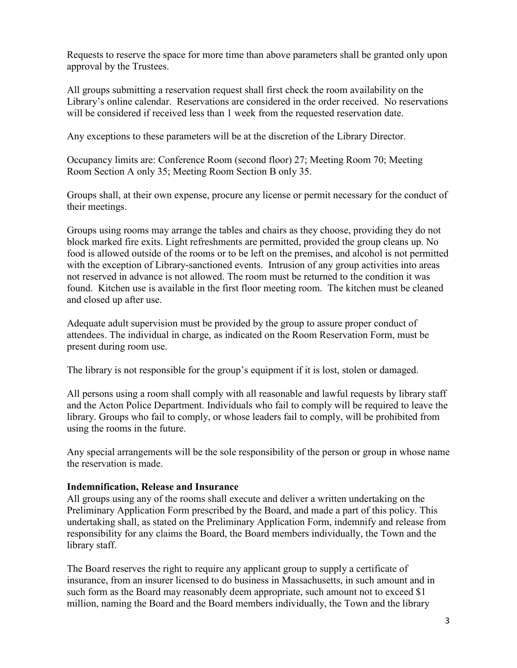Requests to reserve the space for more time than above parameters shall be granted only upon approval by the Trustees.

All groups submitting a reservation request shall first check the room availability on the Library's online calendar. Reservations are considered in the order received. No reservations will be considered if received less than 1 week from the requested reservation date.

Any exceptions to these parameters will be at the discretion of the Library Director.

Occupancy limits are: Conference Room (second floor) 27; Meeting Room 70; Meeting Room Section A only 35; Meeting Room Section B only 35.

Groups shall, at their own expense, procure any license or permit necessary for the conduct of their meetings.

Groups using rooms may arrange the tables and chairs as they choose, providing they do not block marked fire exits. Light refreshments are permitted, provided the group cleans up. No food is allowed outside of the rooms or to be left on the premises, and alcohol is not permitted with the exception of Library-sanctioned events. Intrusion of any group activities into areas not reserved in advance is not allowed. The room must be returned to the condition it was found. Kitchen use is available in the first floor meeting room. The kitchen must be cleaned and closed up after use.

Adequate adult supervision must be provided by the group to assure proper conduct of attendees. The individual in charge, as indicated on the Room Reservation Form, must be present during room use.

The library is not responsible for the group's equipment if it is lost, stolen or damaged.

All persons using a room shall comply with all reasonable and lawful requests by library staff and the Acton Police Department. Individuals who fail to comply will be required to leave the library. Groups who fail to comply, or whose leaders fail to comply, will be prohibited from using the rooms in the future.

Any special arrangements will be the sole responsibility of the person or group in whose name the reservation is made.

#### **Indemnification, Release and Insurance**

All groups using any of the rooms shall execute and deliver a written undertaking on the Preliminary Application Form prescribed by the Board, and made a part of this policy. This undertaking shall, as stated on the Preliminary Application Form, indemnify and release from responsibility for any claims the Board, the Board members individually, the Town and the library staff.

The Board reserves the right to require any applicant group to supply a certificate of insurance, from an insurer licensed to do business in Massachusetts, in such amount and in such form as the Board may reasonably deem appropriate, such amount not to exceed \$1 million, naming the Board and the Board members individually, the Town and the library